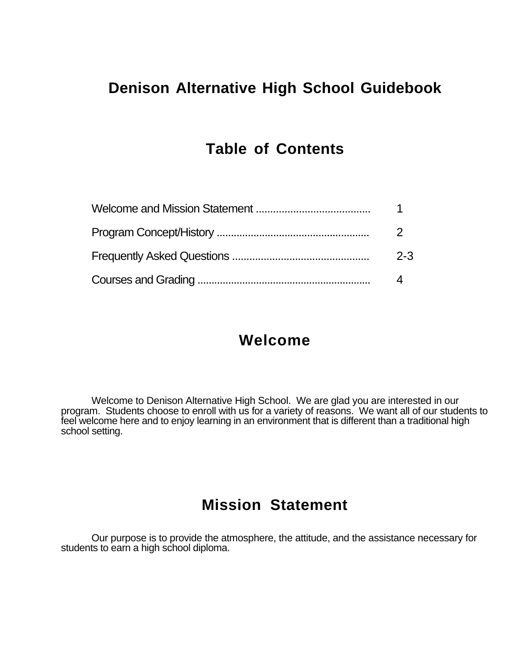# **Denison Alternative High School Guidebook**

### **Table of Contents**

| $2 - 3$ |
|---------|
|         |

### **Welcome**

Welcome to Denison Alternative High School. We are glad you are interested in our program. Students choose to enroll with us for a variety of reasons. We want all of our students to feel welcome here and to enjoy learning in an environment that is different than a traditional high school setting.

### **Mission Statement**

Our purpose is to provide the atmosphere, the attitude, and the assistance necessary for students to earn a high school diploma.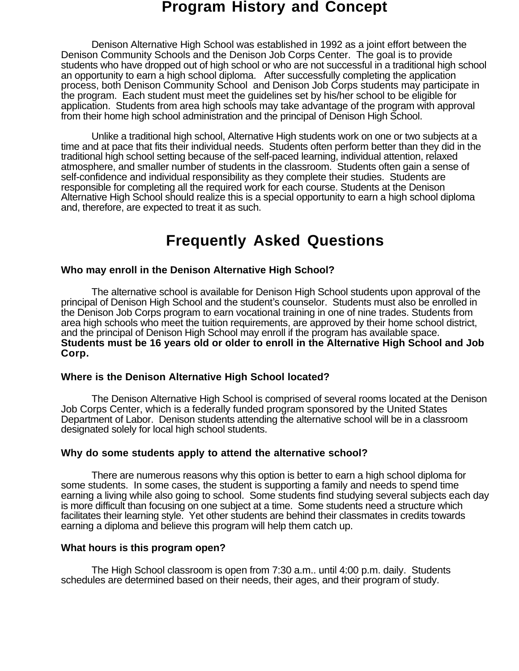### **Program History and Concept**

Denison Alternative High School was established in 1992 as a joint effort between the Denison Community Schools and the Denison Job Corps Center. The goal is to provide students who have dropped out of high school or who are not successful in a traditional high school an opportunity to earn a high school diploma. After successfully completing the application process, both Denison Community School and Denison Job Corps students may participate in the program. Each student must meet the guidelines set by his/her school to be eligible for application. Students from area high schools may take advantage of the program with approval from their home high school administration and the principal of Denison High School.

Unlike a traditional high school, Alternative High students work on one or two subjects at a time and at pace that fits their individual needs. Students often perform better than they did in the traditional high school setting because of the self-paced learning, individual attention, relaxed atmosphere, and smaller number of students in the classroom. Students often gain a sense of self-confidence and individual responsibility as they complete their studies. Students are responsible for completing all the required work for each course. Students at the Denison Alternative High School should realize this is a special opportunity to earn a high school diploma and, therefore, are expected to treat it as such.

# **Frequently Asked Questions**

#### **Who may enroll in the Denison Alternative High School?**

The alternative school is available for Denison High School students upon approval of the principal of Denison High School and the student's counselor. Students must also be enrolled in the Denison Job Corps program to earn vocational training in one of nine trades. Students from area high schools who meet the tuition requirements, are approved by their home school district, and the principal of Denison High School may enroll if the program has available space. **Students must be 16 years old or older to enroll in the Alternative High School and Job Corp.**

### **Where is the Denison Alternative High School located?**

The Denison Alternative High School is comprised of several rooms located at the Denison Job Corps Center, which is a federally funded program sponsored by the United States Department of Labor. Denison students attending the alternative school will be in a classroom designated solely for local high school students.

#### **Why do some students apply to attend the alternative school?**

There are numerous reasons why this option is better to earn a high school diploma for some students. In some cases, the student is supporting a family and needs to spend time earning a living while also going to school. Some students find studying several subjects each day is more difficult than focusing on one subject at a time. Some students need a structure which facilitates their learning style. Yet other students are behind their classmates in credits towards earning a diploma and believe this program will help them catch up.

#### **What hours is this program open?**

The High School classroom is open from 7:30 a.m.. until 4:00 p.m. daily. Students schedules are determined based on their needs, their ages, and their program of study.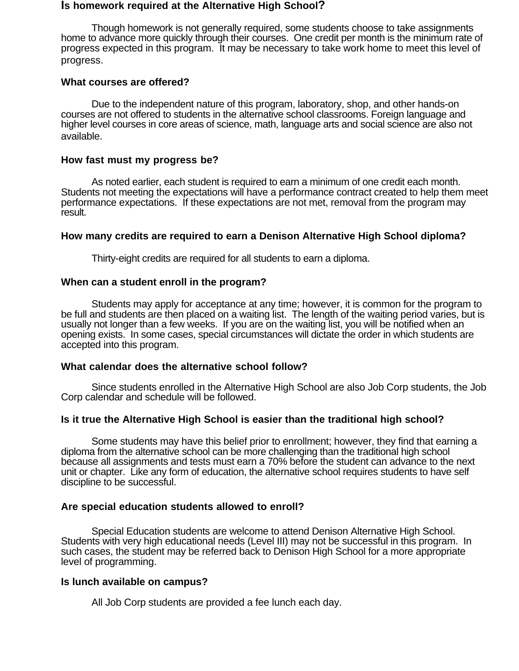#### **Is homework required at the Alternative High School?**

Though homework is not generally required, some students choose to take assignments home to advance more quickly through their courses. One credit per month is the minimum rate of progress expected in this program. It may be necessary to take work home to meet this level of progress.

#### **What courses are offered?**

Due to the independent nature of this program, laboratory, shop, and other hands-on courses are not offered to students in the alternative school classrooms. Foreign language and higher level courses in core areas of science, math, language arts and social science are also not available.

#### **How fast must my progress be?**

As noted earlier, each student is required to earn a minimum of one credit each month. Students not meeting the expectations will have a performance contract created to help them meet performance expectations. If these expectations are not met, removal from the program may result.

#### **How many credits are required to earn a Denison Alternative High School diploma?**

Thirty-eight credits are required for all students to earn a diploma.

#### **When can a student enroll in the program?**

Students may apply for acceptance at any time; however, it is common for the program to be full and students are then placed on a waiting list. The length of the waiting period varies, but is usually not longer than a few weeks. If you are on the waiting list, you will be notified when an opening exists. In some cases, special circumstances will dictate the order in which students are accepted into this program.

#### **What calendar does the alternative school follow?**

Since students enrolled in the Alternative High School are also Job Corp students, the Job Corp calendar and schedule will be followed.

#### **Is it true the Alternative High School is easier than the traditional high school?**

Some students may have this belief prior to enrollment; however, they find that earning a diploma from the alternative school can be more challenging than the traditional high school because all assignments and tests must earn a 70% before the student can advance to the next unit or chapter. Like any form of education, the alternative school requires students to have self discipline to be successful.

#### **Are special education students allowed to enroll?**

Special Education students are welcome to attend Denison Alternative High School. Students with very high educational needs (Level III) may not be successful in this program. In such cases, the student may be referred back to Denison High School for a more appropriate level of programming.

#### **Is lunch available on campus?**

All Job Corp students are provided a fee lunch each day.